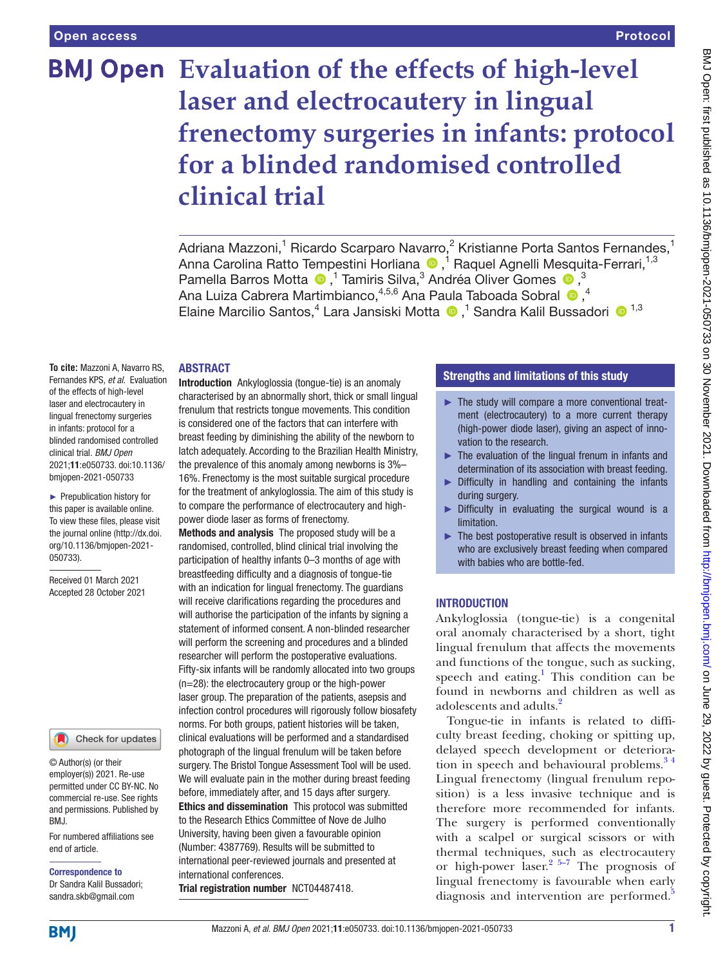# **BMJ Open** Evaluation of the effects of high-level **laser and electrocautery in lingual frenectomy surgeries in infants: protocol for a blinded randomised controlled clinical trial**

Adriana Mazzoni,<sup>1</sup> Ricardo Scarparo Navarro,<sup>2</sup> Kristianne Porta Santos Fernandes,<sup>1</sup> AnnaCarolina Ratto Tempestini Horliana ®,<sup>1</sup> Raquel Agnelli Mesquita-Ferrari,<sup>1,3</sup> PamellaBarros Motta  $\bullet$ ,<sup>1</sup> Tamiris Silva,<sup>3</sup> Andréa Oliver Gomes  $\bullet$ ,<sup>3</sup> AnaLuiza Cabrera Martimbianco,  $4,5,6$  Ana Paula Taboada Sobral  $\bullet$ ,  $4$ ElaineMarcilio Santos,<sup>4</sup> Lara Jansiski Motta <sup>®</sup>,<sup>1</sup> Sandra Kalil Bussadori <sup>® 1,3</sup>

## ABSTRACT

**To cite:** Mazzoni A, Navarro RS, Fernandes KPS, *et al*. Evaluation of the effects of high-level laser and electrocautery in lingual frenectomy surgeries in infants: protocol for a blinded randomised controlled clinical trial. *BMJ Open* 2021;11:e050733. doi:10.1136/ bmjopen-2021-050733

► Prepublication history for this paper is available online. To view these files, please visit the journal online [\(http://dx.doi.](http://dx.doi.org/10.1136/bmjopen-2021-050733) [org/10.1136/bmjopen-2021-](http://dx.doi.org/10.1136/bmjopen-2021-050733) [050733\)](http://dx.doi.org/10.1136/bmjopen-2021-050733).

Received 01 March 2021 Accepted 28 October 2021

#### Check for updates

© Author(s) (or their employer(s)) 2021. Re-use permitted under CC BY-NC. No commercial re-use. See rights and permissions. Published by BMJ.

For numbered affiliations see end of article.

Correspondence to Dr Sandra Kalil Bussadori; sandra.skb@gmail.com

Introduction Ankyloglossia (tongue-tie) is an anomaly characterised by an abnormally short, thick or small lingual frenulum that restricts tongue movements. This condition is considered one of the factors that can interfere with breast feeding by diminishing the ability of the newborn to latch adequately. According to the Brazilian Health Ministry, the prevalence of this anomaly among newborns is 3%–

16%. Frenectomy is the most suitable surgical procedure for the treatment of ankyloglossia. The aim of this study is to compare the performance of electrocautery and highpower diode laser as forms of frenectomy.

Methods and analysis The proposed study will be a randomised, controlled, blind clinical trial involving the participation of healthy infants 0–3 months of age with breastfeeding difficulty and a diagnosis of tongue-tie with an indication for lingual frenectomy. The guardians will receive clarifications regarding the procedures and will authorise the participation of the infants by signing a statement of informed consent. A non-blinded researcher will perform the screening and procedures and a blinded researcher will perform the postoperative evaluations. Fifty-six infants will be randomly allocated into two groups (n=28): the electrocautery group or the high-power laser group. The preparation of the patients, asepsis and infection control procedures will rigorously follow biosafety norms. For both groups, patient histories will be taken, clinical evaluations will be performed and a standardised photograph of the lingual frenulum will be taken before surgery. The Bristol Tongue Assessment Tool will be used. We will evaluate pain in the mother during breast feeding before, immediately after, and 15 days after surgery. Ethics and dissemination This protocol was submitted to the Research Ethics Committee of Nove de Julho University, having been given a favourable opinion (Number: 4387769). Results will be submitted to international peer-reviewed journals and presented at international conferences.

Trial registration number <NCT04487418>.

# Strengths and limitations of this study

- ► The study will compare a more conventional treatment (electrocautery) to a more current therapy (high-power diode laser), giving an aspect of innovation to the research.
- ► The evaluation of the lingual frenum in infants and determination of its association with breast feeding.
- ► Difficulty in handling and containing the infants during surgery.
- ► Difficulty in evaluating the surgical wound is a limitation.
- $\blacktriangleright$  The best postoperative result is observed in infants who are exclusively breast feeding when compared with babies who are bottle-fed.

# **INTRODUCTION**

Ankyloglossia (tongue-tie) is a congenital oral anomaly characterised by a short, tight lingual frenulum that affects the movements and functions of the tongue, such as sucking, speech and eating.<sup>1</sup> This condition can be found in newborns and children as well as adolescents and adults.<sup>[2](#page-5-1)</sup>

Tongue-tie in infants is related to difficulty breast feeding, choking or spitting up, delayed speech development or deterioration in speech and behavioural problems.<sup>34</sup> Lingual frenectomy (lingual frenulum reposition) is a less invasive technique and is therefore more recommended for infants. The surgery is performed conventionally with a scalpel or surgical scissors or with thermal techniques, such as electrocautery or high-power laser. [2 5–7](#page-5-1) The prognosis of lingual frenectomy is favourable when early diagnosis and intervention are performed.<sup>[5](#page-5-3)</sup>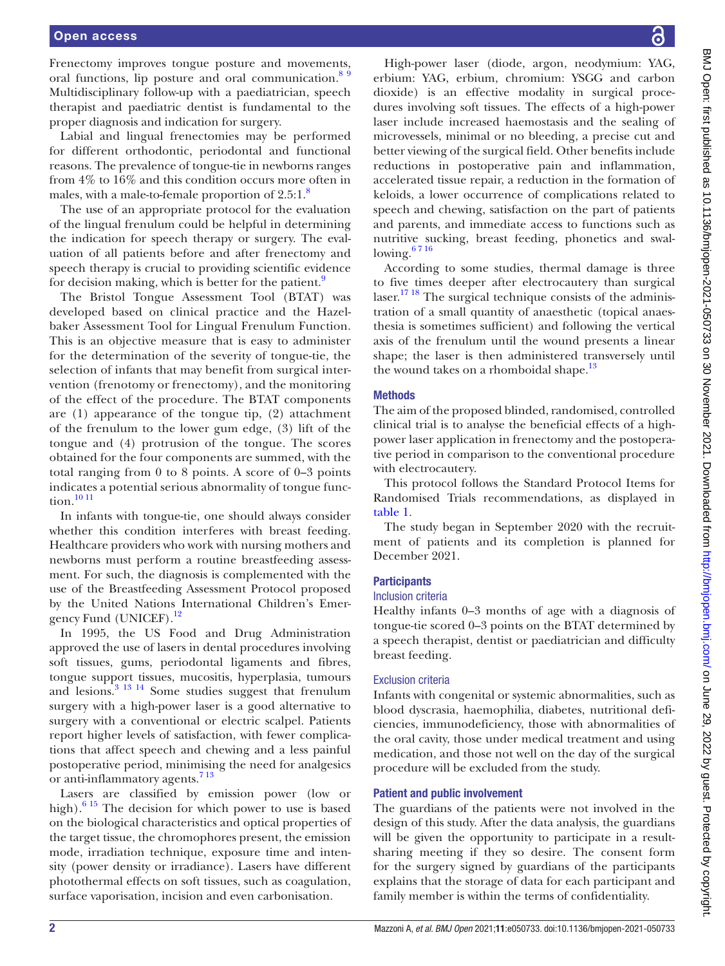## Open access

Frenectomy improves tongue posture and movements, oral functions, lip posture and oral communication.<sup>89</sup> Multidisciplinary follow-up with a paediatrician, speech therapist and paediatric dentist is fundamental to the proper diagnosis and indication for surgery.

Labial and lingual frenectomies may be performed for different orthodontic, periodontal and functional reasons. The prevalence of tongue-tie in newborns ranges from 4% to 16% and this condition occurs more often in males, with a male-to-female proportion of  $2.5:1$ .<sup>8</sup>

The use of an appropriate protocol for the evaluation of the lingual frenulum could be helpful in determining the indication for speech therapy or surgery. The evaluation of all patients before and after frenectomy and speech therapy is crucial to providing scientific evidence for decision making, which is better for the patient.<sup>9</sup>

The Bristol Tongue Assessment Tool (BTAT) was developed based on clinical practice and the Hazelbaker Assessment Tool for Lingual Frenulum Function. This is an objective measure that is easy to administer for the determination of the severity of tongue-tie, the selection of infants that may benefit from surgical intervention (frenotomy or frenectomy), and the monitoring of the effect of the procedure. The BTAT components are (1) appearance of the tongue tip, (2) attachment of the frenulum to the lower gum edge, (3) lift of the tongue and (4) protrusion of the tongue. The scores obtained for the four components are summed, with the total ranging from 0 to 8 points. A score of 0–3 points indicates a potential serious abnormality of tongue func-tion.<sup>[10 11](#page-5-6)</sup>

In infants with tongue-tie, one should always consider whether this condition interferes with breast feeding. Healthcare providers who work with nursing mothers and newborns must perform a routine breastfeeding assessment. For such, the diagnosis is complemented with the use of the Breastfeeding Assessment Protocol proposed by the United Nations International Children's Emergency Fund (UNICEF).<sup>12</sup>

In 1995, the US Food and Drug Administration approved the use of lasers in dental procedures involving soft tissues, gums, periodontal ligaments and fibres, tongue support tissues, mucositis, hyperplasia, tumours and lesions[.3 13 14](#page-5-2) Some studies suggest that frenulum surgery with a high-power laser is a good alternative to surgery with a conventional or electric scalpel. Patients report higher levels of satisfaction, with fewer complications that affect speech and chewing and a less painful postoperative period, minimising the need for analgesics or anti-inflammatory agents.<sup>713</sup>

Lasers are classified by emission power (low or high). $615$  The decision for which power to use is based on the biological characteristics and optical properties of the target tissue, the chromophores present, the emission mode, irradiation technique, exposure time and intensity (power density or irradiance). Lasers have different photothermal effects on soft tissues, such as coagulation, surface vaporisation, incision and even carbonisation.

High-power laser (diode, argon, neodymium: YAG, erbium: YAG, erbium, chromium: YSGG and carbon dioxide) is an effective modality in surgical procedures involving soft tissues. The effects of a high-power laser include increased haemostasis and the sealing of microvessels, minimal or no bleeding, a precise cut and better viewing of the surgical field. Other benefits include reductions in postoperative pain and inflammation, accelerated tissue repair, a reduction in the formation of keloids, a lower occurrence of complications related to speech and chewing, satisfaction on the part of patients and parents, and immediate access to functions such as nutritive sucking, breast feeding, phonetics and swallowing.<sup>6716</sup>

According to some studies, thermal damage is three to five times deeper after electrocautery than surgical  $laser.<sup>1718</sup>$  The surgical technique consists of the administration of a small quantity of anaesthetic (topical anaesthesia is sometimes sufficient) and following the vertical axis of the frenulum until the wound presents a linear shape; the laser is then administered transversely until the wound takes on a rhomboidal shape.<sup>[13](#page-5-11)</sup>

## **Methods**

The aim of the proposed blinded, randomised, controlled clinical trial is to analyse the beneficial effects of a highpower laser application in frenectomy and the postoperative period in comparison to the conventional procedure with electrocautery.

This protocol follows the Standard Protocol Items for Randomised Trials recommendations, as displayed in [table](#page-2-0) 1.

The study began in September 2020 with the recruitment of patients and its completion is planned for December 2021.

# **Participants**

# Inclusion criteria

Healthy infants 0–3 months of age with a diagnosis of tongue-tie scored 0–3 points on the BTAT determined by a speech therapist, dentist or paediatrician and difficulty breast feeding.

## Exclusion criteria

Infants with congenital or systemic abnormalities, such as blood dyscrasia, haemophilia, diabetes, nutritional deficiencies, immunodeficiency, those with abnormalities of the oral cavity, those under medical treatment and using medication, and those not well on the day of the surgical procedure will be excluded from the study.

## Patient and public involvement

The guardians of the patients were not involved in the design of this study. After the data analysis, the guardians will be given the opportunity to participate in a resultsharing meeting if they so desire. The consent form for the surgery signed by guardians of the participants explains that the storage of data for each participant and family member is within the terms of confidentiality.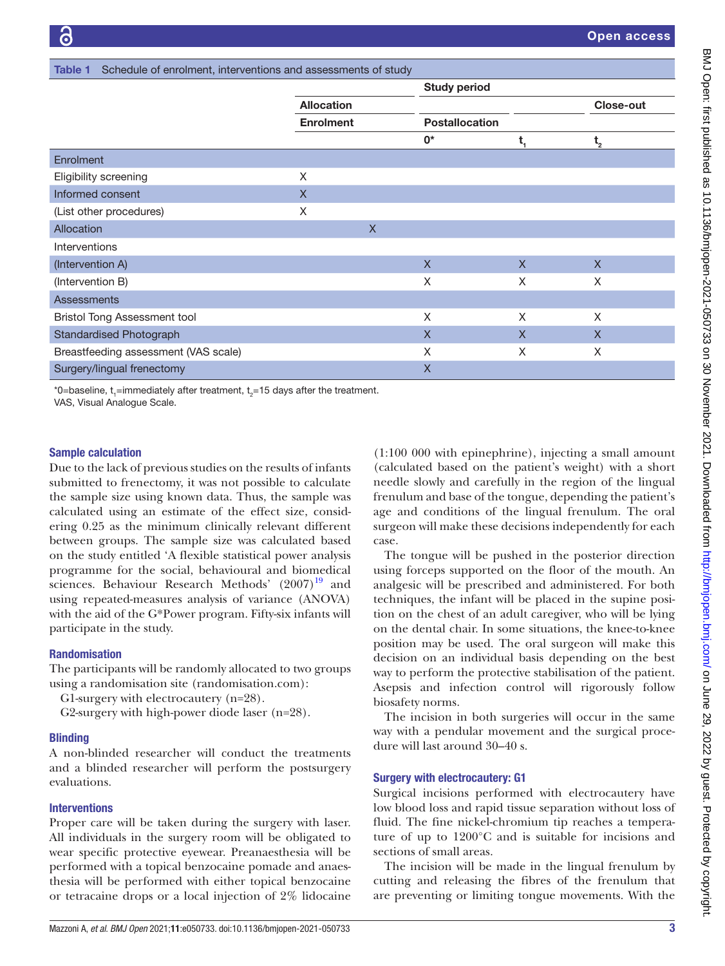<span id="page-2-0"></span>

| Schedule of enrolment, interventions and assessments of study<br><b>Table 1</b> |                                       |              |                       |              |                  |  |  |  |
|---------------------------------------------------------------------------------|---------------------------------------|--------------|-----------------------|--------------|------------------|--|--|--|
|                                                                                 |                                       |              | <b>Study period</b>   |              |                  |  |  |  |
|                                                                                 | <b>Allocation</b><br><b>Enrolment</b> |              |                       |              | <b>Close-out</b> |  |  |  |
|                                                                                 |                                       |              | <b>Postallocation</b> |              |                  |  |  |  |
|                                                                                 |                                       |              | 0*                    | t,           | $t_{2}$          |  |  |  |
| Enrolment                                                                       |                                       |              |                       |              |                  |  |  |  |
| Eligibility screening                                                           | X                                     |              |                       |              |                  |  |  |  |
| Informed consent                                                                | $\boldsymbol{\mathsf{X}}$             |              |                       |              |                  |  |  |  |
| (List other procedures)                                                         | X                                     |              |                       |              |                  |  |  |  |
| Allocation                                                                      |                                       | $\mathsf{X}$ |                       |              |                  |  |  |  |
| Interventions                                                                   |                                       |              |                       |              |                  |  |  |  |
| (Intervention A)                                                                |                                       |              | $\mathsf{X}$          | $\mathsf{X}$ | $\mathsf{X}$     |  |  |  |
| (Intervention B)                                                                |                                       |              | X                     | X            | X                |  |  |  |
| <b>Assessments</b>                                                              |                                       |              |                       |              |                  |  |  |  |
| <b>Bristol Tong Assessment tool</b>                                             |                                       |              | X                     | X            | X                |  |  |  |
| <b>Standardised Photograph</b>                                                  |                                       |              | X                     | $\mathsf{X}$ | $\mathsf{X}$     |  |  |  |
| Breastfeeding assessment (VAS scale)                                            |                                       |              | X                     | X            | X                |  |  |  |
| Surgery/lingual frenectomy                                                      |                                       |              | X                     |              |                  |  |  |  |

\*0=baseline,  $t$ <sub>1</sub>=immediately after treatment,  $t$ <sub>2</sub>=15 days after the treatment.

VAS, Visual Analogue Scale.

#### Sample calculation

Due to the lack of previous studies on the results of infants submitted to frenectomy, it was not possible to calculate the sample size using known data. Thus, the sample was calculated using an estimate of the effect size, considering 0.25 as the minimum clinically relevant different between groups. The sample size was calculated based on the study entitled 'A flexible statistical power analysis programme for the social, behavioural and biomedical sciences. Behaviour Research Methods'  $(2007)^{19}$  $(2007)^{19}$  $(2007)^{19}$  and using repeated-measures analysis of variance (ANOVA) with the aid of the G\*Power program. Fifty-six infants will participate in the study.

#### Randomisation

The participants will be randomly allocated to two groups using a randomisation site (randomisation.com):

G1-surgery with electrocautery (n=28).

G2-surgery with high-power diode laser (n=28).

## **Blinding**

A non-blinded researcher will conduct the treatments and a blinded researcher will perform the postsurgery evaluations.

#### **Interventions**

Proper care will be taken during the surgery with laser. All individuals in the surgery room will be obligated to wear specific protective eyewear. Preanaesthesia will be performed with a topical benzocaine pomade and anaesthesia will be performed with either topical benzocaine or tetracaine drops or a local injection of 2% lidocaine

(1:100 000 with epinephrine), injecting a small amount (calculated based on the patient's weight) with a short needle slowly and carefully in the region of the lingual frenulum and base of the tongue, depending the patient's age and conditions of the lingual frenulum. The oral surgeon will make these decisions independently for each case.

The tongue will be pushed in the posterior direction using forceps supported on the floor of the mouth. An analgesic will be prescribed and administered. For both techniques, the infant will be placed in the supine position on the chest of an adult caregiver, who will be lying on the dental chair. In some situations, the knee-to-knee position may be used. The oral surgeon will make this decision on an individual basis depending on the best way to perform the protective stabilisation of the patient. Asepsis and infection control will rigorously follow biosafety norms.

The incision in both surgeries will occur in the same way with a pendular movement and the surgical procedure will last around 30–40 s.

#### Surgery with electrocautery: G1

Surgical incisions performed with electrocautery have low blood loss and rapid tissue separation without loss of fluid. The fine nickel-chromium tip reaches a temperature of up to 1200°C and is suitable for incisions and sections of small areas.

The incision will be made in the lingual frenulum by cutting and releasing the fibres of the frenulum that are preventing or limiting tongue movements. With the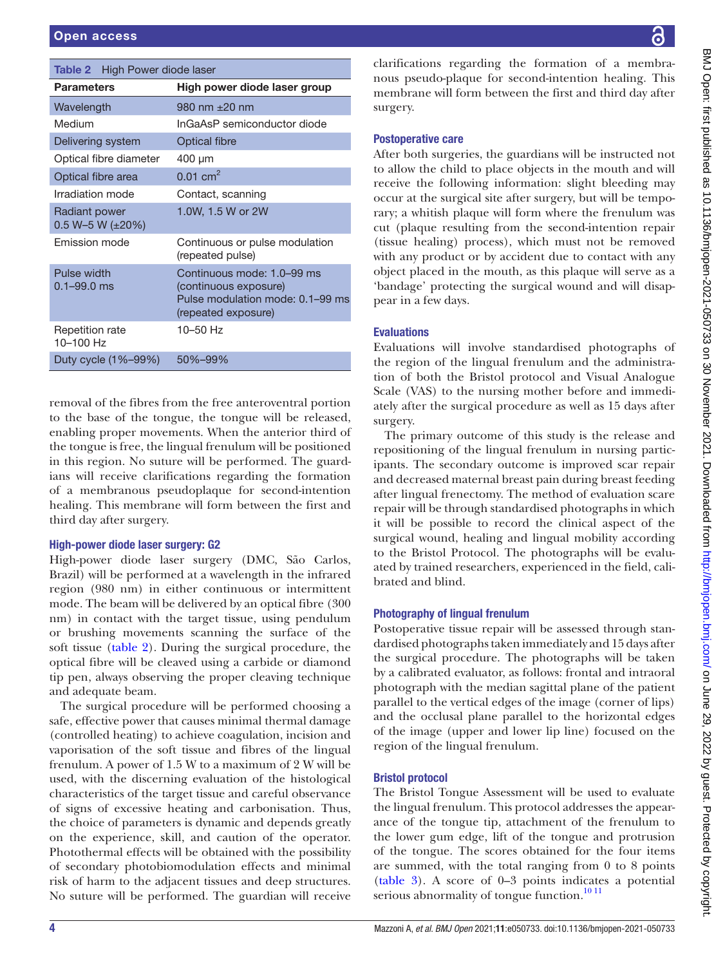<span id="page-3-0"></span>

| <b>Table 2</b> High Power diode laser   |                                                                                                                |  |  |  |  |
|-----------------------------------------|----------------------------------------------------------------------------------------------------------------|--|--|--|--|
| <b>Parameters</b>                       | High power diode laser group                                                                                   |  |  |  |  |
| Wavelength                              | 980 nm $\pm 20$ nm                                                                                             |  |  |  |  |
| Medium                                  | InGaAsP semiconductor diode                                                                                    |  |  |  |  |
| Delivering system                       | <b>Optical fibre</b>                                                                                           |  |  |  |  |
| Optical fibre diameter                  | 400 µm                                                                                                         |  |  |  |  |
| Optical fibre area                      | $0.01$ cm <sup>2</sup>                                                                                         |  |  |  |  |
| Irradiation mode                        | Contact, scanning                                                                                              |  |  |  |  |
| Radiant power<br>0.5 W-5 W $(\pm 20\%)$ | 1.0W, 1.5 W or 2W                                                                                              |  |  |  |  |
| <b>Fmission mode</b>                    | Continuous or pulse modulation<br>(repeated pulse)                                                             |  |  |  |  |
| Pulse width<br>$0.1 - 99.0$ ms          | Continuous mode: 1.0–99 ms<br>(continuous exposure)<br>Pulse modulation mode: 0.1–99 ms<br>(repeated exposure) |  |  |  |  |
| Repetition rate<br>10-100 Hz            | $10 - 50$ Hz                                                                                                   |  |  |  |  |
| Duty cycle (1%-99%)                     | 50%-99%                                                                                                        |  |  |  |  |

removal of the fibres from the free anteroventral portion to the base of the tongue, the tongue will be released, enabling proper movements. When the anterior third of the tongue is free, the lingual frenulum will be positioned in this region. No suture will be performed. The guardians will receive clarifications regarding the formation of a membranous pseudoplaque for second-intention healing. This membrane will form between the first and third day after surgery.

# High-power diode laser surgery: G2

High-power diode laser surgery (DMC, São Carlos, Brazil) will be performed at a wavelength in the infrared region (980 nm) in either continuous or intermittent mode. The beam will be delivered by an optical fibre (300 nm) in contact with the target tissue, using pendulum or brushing movements scanning the surface of the soft tissue ([table](#page-3-0) 2). During the surgical procedure, the optical fibre will be cleaved using a carbide or diamond tip pen, always observing the proper cleaving technique and adequate beam.

The surgical procedure will be performed choosing a safe, effective power that causes minimal thermal damage (controlled heating) to achieve coagulation, incision and vaporisation of the soft tissue and fibres of the lingual frenulum. A power of 1.5 W to a maximum of 2 W will be used, with the discerning evaluation of the histological characteristics of the target tissue and careful observance of signs of excessive heating and carbonisation. Thus, the choice of parameters is dynamic and depends greatly on the experience, skill, and caution of the operator. Photothermal effects will be obtained with the possibility of secondary photobiomodulation effects and minimal risk of harm to the adjacent tissues and deep structures. No suture will be performed. The guardian will receive

clarifications regarding the formation of a membranous pseudo-plaque for second-intention healing. This membrane will form between the first and third day after surgery.

# Postoperative care

After both surgeries, the guardians will be instructed not to allow the child to place objects in the mouth and will receive the following information: slight bleeding may occur at the surgical site after surgery, but will be temporary; a whitish plaque will form where the frenulum was cut (plaque resulting from the second-intention repair (tissue healing) process), which must not be removed with any product or by accident due to contact with any object placed in the mouth, as this plaque will serve as a 'bandage' protecting the surgical wound and will disappear in a few days.

# Evaluations

Evaluations will involve standardised photographs of the region of the lingual frenulum and the administration of both the Bristol protocol and Visual Analogue Scale (VAS) to the nursing mother before and immediately after the surgical procedure as well as 15 days after surgery.

The primary outcome of this study is the release and repositioning of the lingual frenulum in nursing participants. The secondary outcome is improved scar repair and decreased maternal breast pain during breast feeding after lingual frenectomy. The method of evaluation scare repair will be through standardised photographs in which it will be possible to record the clinical aspect of the surgical wound, healing and lingual mobility according to the Bristol Protocol. The photographs will be evaluated by trained researchers, experienced in the field, calibrated and blind.

# Photography of lingual frenulum

Postoperative tissue repair will be assessed through standardised photographs taken immediately and 15 days after the surgical procedure. The photographs will be taken by a calibrated evaluator, as follows: frontal and intraoral photograph with the median sagittal plane of the patient parallel to the vertical edges of the image (corner of lips) and the occlusal plane parallel to the horizontal edges of the image (upper and lower lip line) focused on the region of the lingual frenulum.

# Bristol protocol

The Bristol Tongue Assessment will be used to evaluate the lingual frenulum. This protocol addresses the appearance of the tongue tip, attachment of the frenulum to the lower gum edge, lift of the tongue and protrusion of the tongue. The scores obtained for the four items are summed, with the total ranging from 0 to 8 points [\(table](#page-4-0) 3). A score of 0–3 points indicates a potential serious abnormality of tongue function.<sup>10 11</sup>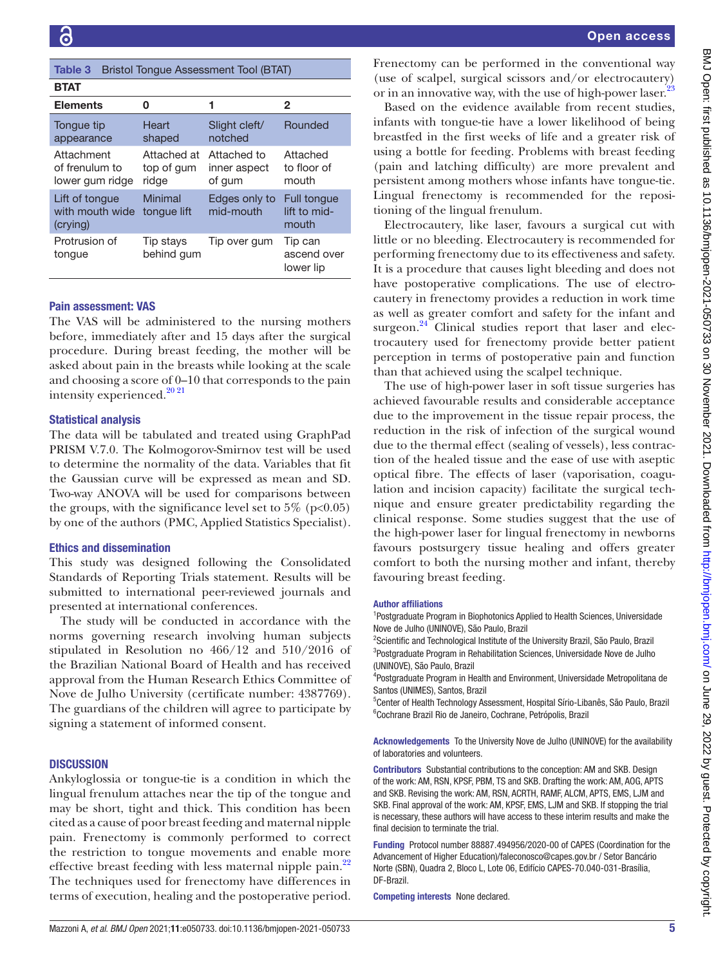<span id="page-4-0"></span>

| Table 3<br><b>Bristol Tonque Assessment Tool (BTAT)</b> |                                    |                                       |                                      |  |  |  |  |
|---------------------------------------------------------|------------------------------------|---------------------------------------|--------------------------------------|--|--|--|--|
| <b>BTAT</b>                                             |                                    |                                       |                                      |  |  |  |  |
| <b>Elements</b>                                         | 0                                  | 1                                     | $\mathbf{2}$                         |  |  |  |  |
| Tongue tip<br>appearance                                | Heart<br>shaped                    | Slight cleft/<br>notched              | Rounded                              |  |  |  |  |
| Attachment<br>of frenulum to<br>lower gum ridge         | Attached at<br>top of gum<br>ridge | Attached to<br>inner aspect<br>of gum | Attached<br>to floor of<br>mouth     |  |  |  |  |
| Lift of tonque<br>with mouth wide<br>(crying)           | Minimal<br>tonque lift             | Edges only to<br>mid-mouth            | Full tongue<br>lift to mid-<br>mouth |  |  |  |  |
| Protrusion of<br>tonque                                 | Tip stays<br>behind gum            | Tip over gum                          | Tip can<br>ascend over<br>lower lip  |  |  |  |  |

# Pain assessment: VAS

The VAS will be administered to the nursing mothers before, immediately after and 15 days after the surgical procedure. During breast feeding, the mother will be asked about pain in the breasts while looking at the scale and choosing a score of 0–10 that corresponds to the pain intensity experienced. $20\frac{20\frac{21}{21}}{20\frac{21}{21}}$ 

## Statistical analysis

The data will be tabulated and treated using GraphPad PRISM V.7.0. The Kolmogorov-Smirnov test will be used to determine the normality of the data. Variables that fit the Gaussian curve will be expressed as mean and SD. Two-way ANOVA will be used for comparisons between the groups, with the significance level set to  $5\%$  (p<0.05) by one of the authors (PMC, Applied Statistics Specialist).

## Ethics and dissemination

This study was designed following the Consolidated Standards of Reporting Trials statement. Results will be submitted to international peer-reviewed journals and presented at international conferences.

The study will be conducted in accordance with the norms governing research involving human subjects stipulated in Resolution no 466/12 and 510/2016 of the Brazilian National Board of Health and has received approval from the Human Research Ethics Committee of Nove de Julho University (certificate number: 4387769). The guardians of the children will agree to participate by signing a statement of informed consent.

## **DISCUSSION**

Ankyloglossia or tongue-tie is a condition in which the lingual frenulum attaches near the tip of the tongue and may be short, tight and thick. This condition has been cited as a cause of poor breast feeding and maternal nipple pain. Frenectomy is commonly performed to correct the restriction to tongue movements and enable more effective breast feeding with less maternal nipple pain.<sup>22</sup> The techniques used for frenectomy have differences in terms of execution, healing and the postoperative period.

Frenectomy can be performed in the conventional way (use of scalpel, surgical scissors and/or electrocautery) or in an innovative way, with the use of high-power laser.<sup>[23](#page-5-15)</sup>

Based on the evidence available from recent studies, infants with tongue-tie have a lower likelihood of being breastfed in the first weeks of life and a greater risk of using a bottle for feeding. Problems with breast feeding (pain and latching difficulty) are more prevalent and persistent among mothers whose infants have tongue-tie. Lingual frenectomy is recommended for the repositioning of the lingual frenulum.

Electrocautery, like laser, favours a surgical cut with little or no bleeding. Electrocautery is recommended for performing frenectomy due to its effectiveness and safety. It is a procedure that causes light bleeding and does not have postoperative complications. The use of electrocautery in frenectomy provides a reduction in work time as well as greater comfort and safety for the infant and surgeon. $^{24}$  Clinical studies report that laser and electrocautery used for frenectomy provide better patient perception in terms of postoperative pain and function than that achieved using the scalpel technique.

The use of high-power laser in soft tissue surgeries has achieved favourable results and considerable acceptance due to the improvement in the tissue repair process, the reduction in the risk of infection of the surgical wound due to the thermal effect (sealing of vessels), less contraction of the healed tissue and the ease of use with aseptic optical fibre. The effects of laser (vaporisation, coagulation and incision capacity) facilitate the surgical technique and ensure greater predictability regarding the clinical response. Some studies suggest that the use of the high-power laser for lingual frenectomy in newborns favours postsurgery tissue healing and offers greater comfort to both the nursing mother and infant, thereby favouring breast feeding.

#### Author affiliations

<sup>1</sup>Postgraduate Program in Biophotonics Applied to Health Sciences, Universidade Nove de Julho (UNINOVE), São Paulo, Brazil

<sup>2</sup>Scientific and Technological Institute of the University Brazil, São Paulo, Brazil 3 Postgraduate Program in Rehabilitation Sciences, Universidade Nove de Julho (UNINOVE), São Paulo, Brazil

4 Postgraduate Program in Health and Environment, Universidade Metropolitana de Santos (UNIMES), Santos, Brazil

<sup>5</sup>Center of Health Technology Assessment, Hospital Sírio-Libanês, São Paulo, Brazil 6 Cochrane Brazil Rio de Janeiro, Cochrane, Petrópolis, Brazil

Acknowledgements To the University Nove de Julho (UNINOVE) for the availability of laboratories and volunteers.

Contributors Substantial contributions to the conception: AM and SKB. Design of the work: AM, RSN, KPSF, PBM, TS and SKB. Drafting the work: AM, AOG, APTS and SKB. Revising the work: AM, RSN, ACRTH, RAMF, ALCM, APTS, EMS, LJM and SKB. Final approval of the work: AM, KPSF, EMS, LJM and SKB. If stopping the trial is necessary, these authors will have access to these interim results and make the final decision to terminate the trial.

Funding Protocol number 88887.494956/2020-00 of CAPES (Coordination for the Advancement of Higher Education)/faleconosco@capes.gov.br / Setor Bancário Norte (SBN), Quadra 2, Bloco L, Lote 06, Edifício CAPES-70.040-031-Brasília, DF-Brazil.

Competing interests None declared.